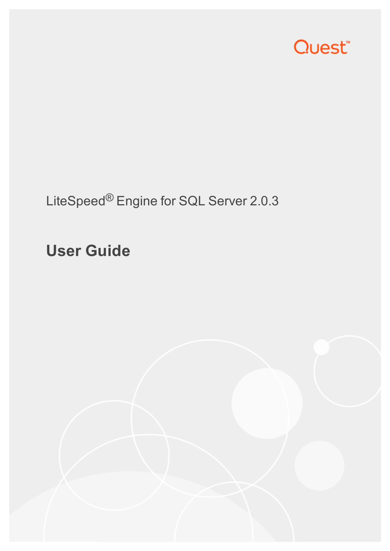

LiteSpeed® Engine for SQL Server 2.0.3

**User Guide**

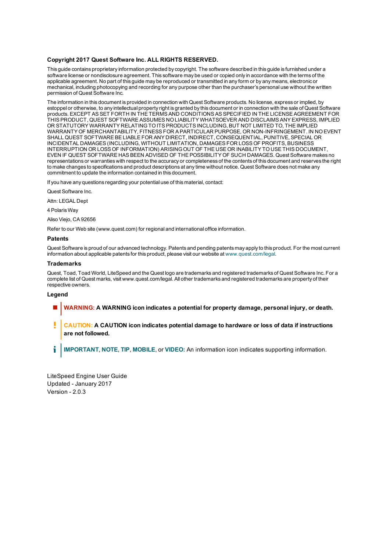#### **Copyright 2017 Quest Software Inc. ALL RIGHTS RESERVED.**

This guide contains proprietary information protected by copyright. The software described in this guide is furnished under a software license or nondisclosure agreement. This software may be used or copied only in accordance with the terms of the applicable agreement. No part of this guide may be reproduced or transmitted in any form or by any means, electronic or mechanical, including photocopying and recording for any purpose other than the purchaser's personal use without the written permission of Quest Software Inc.

The information in this document is provided in connection with Quest Software products. No license, express or implied, by estoppel or otherwise, to any intellectual property right is granted by this document or in connection with the sale of Quest Software products. EXCEPT AS SET FORTH IN THE TERMS AND CONDITIONS AS SPECIFIED IN THE LICENSE AGREEMENT FOR THIS PRODUCT, QUEST SOFTWARE ASSUMES NO LIABILITY WHATSOEVER AND DISCLAIMS ANY EXPRESS, IMPLIED OR STATUTORY WARRANTY RELATING TO ITS PRODUCTS INCLUDING, BUT NOT LIMITED TO, THE IMPLIED WARRANTY OF MERCHANTABILITY, FITNESS FOR A PARTICULAR PURPOSE, OR NON-INFRINGEMENT. IN NO EVENT SHALL QUEST SOFTWARE BE LIABLE FOR ANY DIRECT, INDIRECT, CONSEQUENTIAL, PUNITIVE, SPECIAL OR INCIDENTAL DAMAGES (INCLUDING, WITHOUT LIMITATION, DAMAGES FOR LOSS OF PROFITS, BUSINESS INTERRUPTION OR LOSS OF INFORMATION) ARISING OUT OF THE USE OR INABILITY TO USE THIS DOCUMENT, EVEN IF QUEST SOFTWARE HAS BEEN ADVISED OF THE POSSIBILITY OF SUCH DAMAGES. Quest Software makes no representations or warranties with respect to the accuracy or completeness of the contents of this document and reserves the right to make changes to specifications and product descriptions at any time without notice. Quest Software does not make any commitment to update the information contained in this document.

If you have any questions regarding your potential use of this material, contact:

Quest Software Inc.

Attn: LEGAL Dept

4 Polaris Way

Aliso Viejo, CA 92656

Refer to our Web site (www.quest.com) for regional and international office information.

#### **Patents**

Quest Software is proud of our advanced technology. Patents and pending patents may apply to this product. For the most current information about applicable patents for this product, please visit our website at [www.quest.com/legal](http://www.quest.com/legal).

#### **Trademarks**

Quest, Toad, Toad World, LiteSpeed and the Quest logo are trademarks and registered trademarks of Quest Software Inc. For a complete list of Quest marks, visit www.quest.com/legal. All other trademarks and registered trademarks are property of their respective owners.

#### **Legend**

- **WARNING: A WARNING icon indicates a potential for property damage, personal injury, or death.**
- Ţ **CAUTION: A CAUTION icon indicates potential damage to hardware or loss of data if instructions are not followed.**
- i **IMPORTANT**, **NOTE**, **TIP**, **MOBILE**, or **VIDEO:** An information icon indicates supporting information.

LiteSpeed Engine User Guide Updated - January 2017 Version - 2.0.3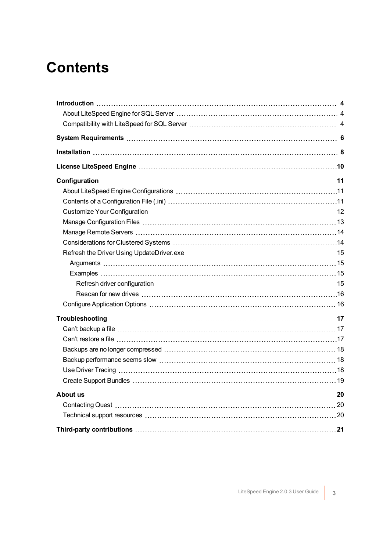### **Contents**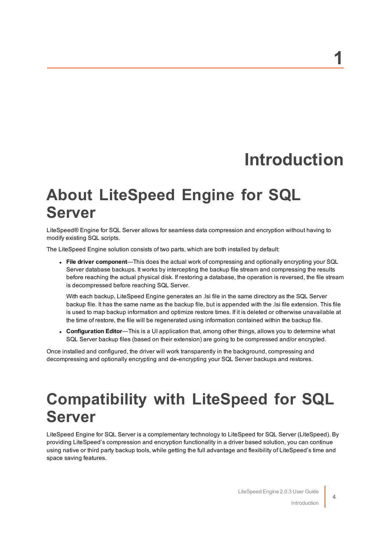### **1**

## **Introduction**

### <span id="page-3-1"></span><span id="page-3-0"></span>**About LiteSpeed Engine for SQL Server**

LiteSpeed® Engine for SQL Server allows for seamless data compression and encryption without having to modify existing SQL scripts.

The LiteSpeed Engine solution consists of two parts, which are both installed by default:

<sup>l</sup> **File driver component**—This does the actual work of compressing and optionally encrypting your SQL Server database backups. It works by intercepting the backup file stream and compressing the results before reaching the actual physical disk. If restoring a database, the operation is reversed, the file stream is decompressed before reaching SQL Server.

With each backup, LiteSpeed Engine generates an .lsi file in the same directory as the SQL Server backup file. It has the same name as the backup file, but is appended with the .lsi file extension. This file is used to map backup information and optimize restore times. If it is deleted or otherwise unavailable at the time of restore, the file will be regenerated using information contained within the backup file.

<sup>l</sup> **Configuration Editor**—This is a UI application that, among other things, allows you to determine what SQL Server backup files (based on their extension) are going to be compressed and/or encrypted.

Once installed and configured, the driver will work transparently in the background, compressing and decompressing and optionally encrypting and de-encrypting your SQL Server backups and restores.

### <span id="page-3-2"></span>**Compatibility with LiteSpeed for SQL Server**

<span id="page-3-3"></span>LiteSpeed Engine for SQL Server is a complementary technology to LiteSpeed for SQL Server (LiteSpeed). By providing LiteSpeed's compression and encryption functionality in a driver based solution, you can continue using native or third party backup tools, while getting the full advantage and flexibility of LiteSpeed's time and space saving features.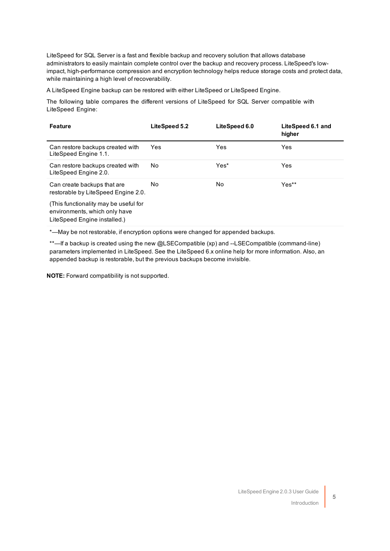LiteSpeed for SQL Server is a fast and flexible backup and recovery solution that allows database administrators to easily maintain complete control over the backup and recovery process. LiteSpeed's lowimpact, high-performance compression and encryption technology helps reduce storage costs and protect data, while maintaining a high level of recoverability.

<span id="page-4-0"></span>A LiteSpeed Engine backup can be restored with either LiteSpeed or LiteSpeed Engine.

The following table compares the different versions of LiteSpeed for SQL Server compatible with LiteSpeed Engine:

| <b>Feature</b>                                                                                         | LiteSpeed 5.2 | LiteSpeed 6.0 | LiteSpeed 6.1 and<br>higher |
|--------------------------------------------------------------------------------------------------------|---------------|---------------|-----------------------------|
| Can restore backups created with<br>LiteSpeed Engine 1.1.                                              | Yes.          | Yes           | Yes                         |
| Can restore backups created with<br>LiteSpeed Engine 2.0.                                              | No.           | Yes*          | <b>Yes</b>                  |
| Can create backups that are<br>restorable by LiteSpeed Engine 2.0.                                     | No.           | No.           | Yes**                       |
| (This functionality may be useful for<br>environments, which only have<br>LiteSpeed Engine installed.) |               |               |                             |

\*—May be not restorable, if encryption options were changed for appended backups.

\*\*—If a backup is created using the new @LSECompatible (xp) and --LSECompatible (command-line) parameters implemented in LiteSpeed. See the LiteSpeed 6.x online help for more information. Also, an appended backup is restorable, but the previous backups become invisible.

**NOTE:** Forward compatibility is not supported.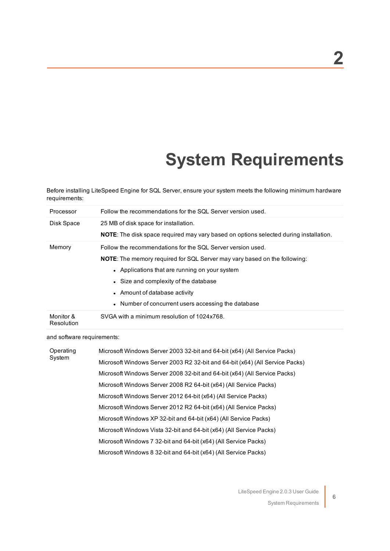## **System Requirements**

<span id="page-5-1"></span><span id="page-5-0"></span>Before installing LiteSpeed Engine for SQL Server, ensure your system meets the following minimum hardware requirements:

| Processor               | Follow the recommendations for the SQL Server version used.                                  |
|-------------------------|----------------------------------------------------------------------------------------------|
| Disk Space              | 25 MB of disk space for installation.                                                        |
|                         | <b>NOTE:</b> The disk space required may vary based on options selected during installation. |
| Memory                  | Follow the recommendations for the SQL Server version used.                                  |
|                         | <b>NOTE:</b> The memory required for SQL Server may vary based on the following:             |
|                         | • Applications that are running on your system                                               |
|                         | • Size and complexity of the database                                                        |
|                         | • Amount of database activity                                                                |
|                         | • Number of concurrent users accessing the database                                          |
| Monitor &<br>Resolution | SVGA with a minimum resolution of 1024x768.                                                  |

<span id="page-5-2"></span>and software requirements:

| Operating<br>System | Microsoft Windows Server 2003 32-bit and 64-bit (x64) (All Service Packs)    |
|---------------------|------------------------------------------------------------------------------|
|                     | Microsoft Windows Server 2003 R2 32-bit and 64-bit (x64) (All Service Packs) |
|                     | Microsoft Windows Server 2008 32-bit and 64-bit (x64) (All Service Packs)    |
|                     | Microsoft Windows Server 2008 R2 64-bit (x64) (All Service Packs)            |
|                     | Microsoft Windows Server 2012 64-bit (x64) (All Service Packs)               |
|                     | Microsoft Windows Server 2012 R2 64-bit (x64) (All Service Packs)            |
|                     | Microsoft Windows XP 32-bit and 64-bit (x64) (All Service Packs)             |
|                     | Microsoft Windows Vista 32-bit and 64-bit (x64) (All Service Packs)          |
|                     | Microsoft Windows 7 32-bit and 64-bit (x64) (All Service Packs)              |
|                     | Microsoft Windows 8 32-bit and 64-bit (x64) (All Service Packs)              |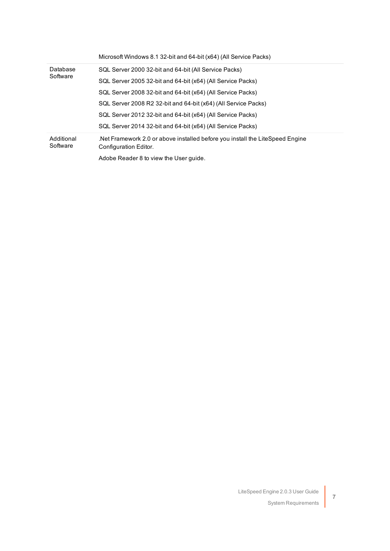|                        | Microsoft Windows 8.1 32-bit and 64-bit (x64) (All Service Packs)                                     |
|------------------------|-------------------------------------------------------------------------------------------------------|
| Database               | SQL Server 2000 32-bit and 64-bit (All Service Packs)                                                 |
| Software               | SQL Server 2005 32-bit and 64-bit (x64) (All Service Packs)                                           |
|                        | SQL Server 2008 32-bit and 64-bit (x64) (All Service Packs)                                           |
|                        | SQL Server 2008 R2 32-bit and 64-bit (x64) (All Service Packs)                                        |
|                        | SQL Server 2012 32-bit and 64-bit (x64) (All Service Packs)                                           |
|                        | SQL Server 2014 32-bit and 64-bit (x64) (All Service Packs)                                           |
| Additional<br>Software | Net Framework 2.0 or above installed before you install the LiteSpeed Engine<br>Configuration Editor. |
|                        | Adobe Reader 8 to view the User quide.                                                                |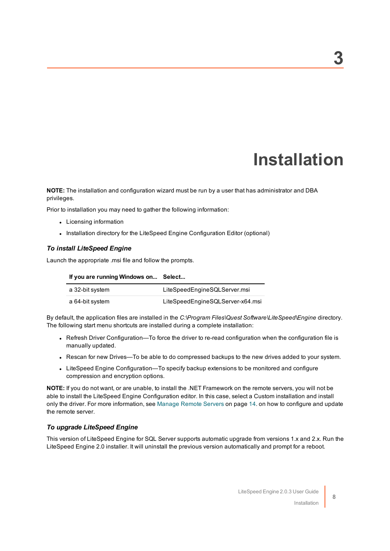## **Installation**

<span id="page-7-3"></span><span id="page-7-0"></span>**NOTE:** The installation and configuration wizard must be run by a user that has administrator and DBA privileges.

Prior to installation you may need to gather the following information:

- Licensing information
- Installation directory for the LiteSpeed Engine Configuration Editor (optional)

#### <span id="page-7-2"></span><span id="page-7-1"></span>*To install LiteSpeed Engine*

Launch the appropriate .msi file and follow the prompts.

**If you are running Windows on... Select...**

| a 32-bit system | LiteSpeedEngineSQLServer.msi     |
|-----------------|----------------------------------|
| a 64-bit system | LiteSpeedEngineSQLServer-x64.msi |

By default, the application files are installed in the *C:\Program Files\Quest Software\LiteSpeed\Engine* directory. The following start menu shortcuts are installed during a complete installation:

- Refresh Driver Configuration—To force the driver to re-read configuration when the configuration file is manually updated.
- Rescan for new Drives—To be able to do compressed backups to the new drives added to your system.
- LiteSpeed Engine Configuration—To specify backup extensions to be monitored and configure compression and encryption options.

**NOTE:** If you do not want, or are unable, to install the .NET Framework on the remote servers, you will not be able to install the LiteSpeed Engine Configuration editor. In this case, select a Custom installation and install only the driver. For more [information,](#page-13-0) see Manage Remote Servers on page 14. on how to configure and update the remote server.

#### <span id="page-7-4"></span>*To upgrade LiteSpeed Engine*

This version of LiteSpeed Engine for SQL Server supports automatic upgrade from versions 1.x and 2.x. Run the LiteSpeed Engine 2.0 installer. It will uninstall the previous version automatically and prompt for a reboot.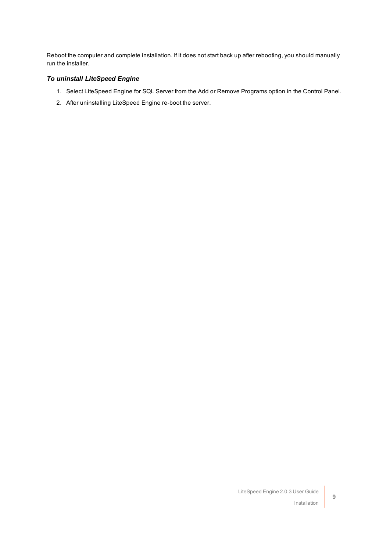Reboot the computer and complete installation. If it does not start back up after rebooting, you should manually run the installer.

### <span id="page-8-0"></span>*To uninstall LiteSpeed Engine*

- 1. Select LiteSpeed Engine for SQL Server from the Add or Remove Programs option in the Control Panel.
- 2. After uninstalling LiteSpeed Engine re-boot the server.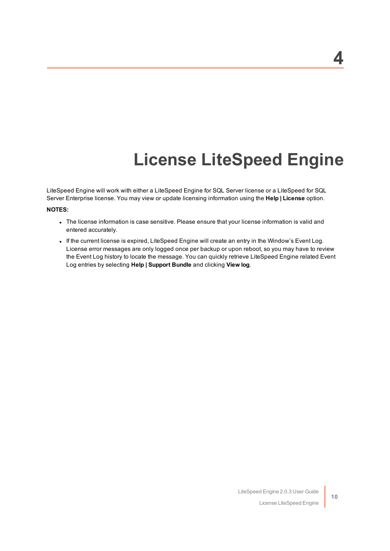## **License LiteSpeed Engine**

<span id="page-9-1"></span><span id="page-9-0"></span>LiteSpeed Engine will work with either a LiteSpeed Engine for SQL Server license or a LiteSpeed for SQL Server Enterprise license. You may view or update licensing information using the **Help | License** option.

#### **NOTES:**

- The license information is case sensitive. Please ensure that your license information is valid and entered accurately.
- . If the current license is expired, LiteSpeed Engine will create an entry in the Window's Event Log. License error messages are only logged once per backup or upon reboot, so you may have to review the Event Log history to locate the message. You can quickly retrieve LiteSpeed Engine related Event Log entries by selecting **Help | Support Bundle** and clicking **View log**.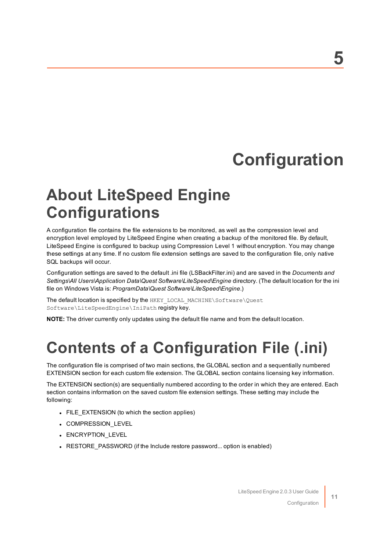## **Configuration**

## <span id="page-10-1"></span><span id="page-10-0"></span>**About LiteSpeed Engine Configurations**

<span id="page-10-3"></span>A configuration file contains the file extensions to be monitored, as well as the compression level and encryption level employed by LiteSpeed Engine when creating a backup of the monitored file. By default, LiteSpeed Engine is configured to backup using Compression Level 1 without encryption. You may change these settings at any time. If no custom file extension settings are saved to the configuration file, only native SQL backups will occur.

Configuration settings are saved to the default .ini file (LSBackFilter.ini) and are saved in the *Documents and Settings\All Users\Application Data\Quest Software\LiteSpeed\Engine* directory. (The default location for the ini file on Windows Vista is: *ProgramData\Quest Software\LiteSpeed\Engine*.)

The default location is specified by the HKEY\_LOCAL\_MACHINE\Software\Quest Software\LiteSpeedEngine\IniPath registry key.

<span id="page-10-2"></span>**NOTE:** The driver currently only updates using the default file name and from the default location.

## **Contents of a Configuration File (.ini)**

The configuration file is comprised of two main sections, the GLOBAL section and a sequentially numbered EXTENSION section for each custom file extension. The GLOBAL section contains licensing key information.

The EXTENSION section(s) are sequentially numbered according to the order in which they are entered. Each section contains information on the saved custom file extension settings. These setting may include the following:

- FILE EXTENSION (to which the section applies)
- COMPRESSION\_LEVEL
- ENCRYPTION LEVEL
- RESTORE PASSWORD (if the Include restore password... option is enabled)

Configuration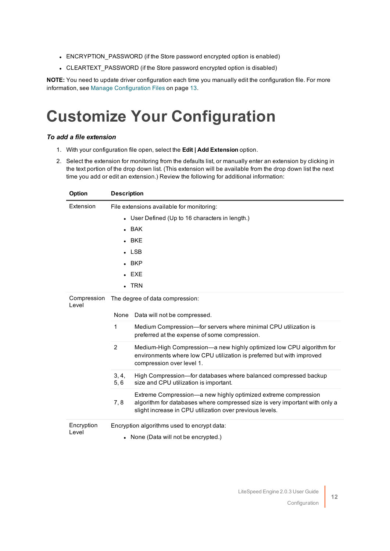- ENCRYPTION PASSWORD (if the Store password encrypted option is enabled)
- CLEARTEXT PASSWORD (if the Store password encrypted option is disabled)

<span id="page-11-0"></span>**NOTE:** You need to update driver configuration each time you manually edit the configuration file. For [more](#page-12-0) information, see Manage [Configuration](#page-12-0) Files on page 13.

## **Customize Your Configuration**

#### <span id="page-11-1"></span>*To add a file extension*

- 1. With your configuration file open, select the **Edit | Add Extension** option.
- 2. Select the extension for monitoring from the defaults list, or manually enter an extension by clicking in the text portion of the drop down list. (This extension will be available from the drop down list the next time you add or edit an extension.) Review the following for additional information:

<span id="page-11-4"></span><span id="page-11-3"></span><span id="page-11-2"></span>

| Option               | <b>Description</b>                                                                                                                                                                                               |  |
|----------------------|------------------------------------------------------------------------------------------------------------------------------------------------------------------------------------------------------------------|--|
| Extension            | File extensions available for monitoring:                                                                                                                                                                        |  |
|                      | • User Defined (Up to 16 characters in length.)                                                                                                                                                                  |  |
|                      | $-BAK$                                                                                                                                                                                                           |  |
|                      | $-BKE$                                                                                                                                                                                                           |  |
|                      | $\cdot$ LSB                                                                                                                                                                                                      |  |
|                      | $-BKP$                                                                                                                                                                                                           |  |
|                      | $\cdot$ EXE                                                                                                                                                                                                      |  |
|                      | $\blacksquare$ TRN                                                                                                                                                                                               |  |
| Compression<br>Level | The degree of data compression:                                                                                                                                                                                  |  |
|                      | Data will not be compressed.<br>None                                                                                                                                                                             |  |
|                      | 1<br>Medium Compression-for servers where minimal CPU utilization is<br>preferred at the expense of some compression.                                                                                            |  |
|                      | 2<br>Medium-High Compression—a new highly optimized low CPU algorithm for<br>environments where low CPU utilization is preferred but with improved<br>compression over level 1.                                  |  |
|                      | High Compression-for databases where balanced compressed backup<br>3, 4,<br>5,6<br>size and CPU utilization is important.                                                                                        |  |
|                      | Extreme Compression—a new highly optimized extreme compression<br>algorithm for databases where compressed size is very important with only a<br>7.8<br>slight increase in CPU utilization over previous levels. |  |
| Encryption<br>Level  | Encryption algorithms used to encrypt data:<br>• None (Data will not be encrypted.)                                                                                                                              |  |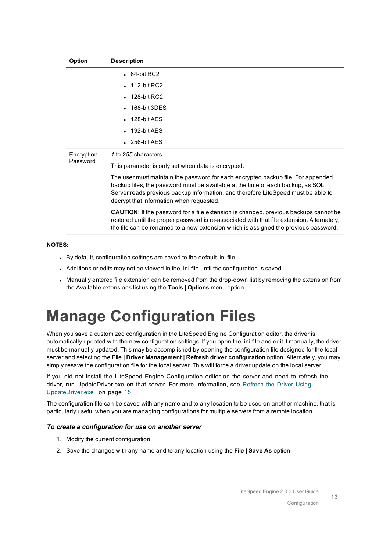<span id="page-12-2"></span>

| Option     | <b>Description</b>                                                                                                                                                                                                                                                                                   |
|------------|------------------------------------------------------------------------------------------------------------------------------------------------------------------------------------------------------------------------------------------------------------------------------------------------------|
|            | $-64$ -bit RC2                                                                                                                                                                                                                                                                                       |
|            | $\cdot$ 112-bit RC2                                                                                                                                                                                                                                                                                  |
|            | $\cdot$ 128-bit RC2                                                                                                                                                                                                                                                                                  |
|            | $\cdot$ 168-bit 3DES                                                                                                                                                                                                                                                                                 |
|            | $\cdot$ 128-bit AES                                                                                                                                                                                                                                                                                  |
|            | $-192$ -bit AES                                                                                                                                                                                                                                                                                      |
|            | $\cdot$ 256-bit AES                                                                                                                                                                                                                                                                                  |
| Encryption | 1 to 255 characters.                                                                                                                                                                                                                                                                                 |
| Password   | This parameter is only set when data is encrypted.                                                                                                                                                                                                                                                   |
|            | The user must maintain the password for each encrypted backup file. For appended<br>backup files, the password must be available at the time of each backup, as SQL<br>Server reads previous backup information, and therefore LiteSpeed must be able to<br>decrypt that information when requested. |
|            | <b>CAUTION:</b> If the password for a file extension is changed, previous backups cannot be<br>restored until the proper password is re-associated with that file extension. Alternately,                                                                                                            |

#### **NOTES:**

- By default, configuration settings are saved to the default .ini file.
- Additions or edits may not be viewed in the .ini file until the configuration is saved.
- Manually entered file extension can be removed from the drop-down list by removing the extension from the Available extensions list using the **Tools | Options** menu option.

the file can be renamed to a new extension which is assigned the previous password.

## <span id="page-12-0"></span>**Manage Configuration Files**

When you save a customized configuration in the LiteSpeed Engine Configuration editor, the driver is automatically updated with the new configuration settings. If you open the .ini file and edit it manually, the driver must be manually updated. This may be accomplished by opening the configuration file designed for the local server and selecting the **File | Driver Management | Refresh driver configuration** option. Alternately, you may simply resave the configuration file for the local server. This will force a driver update on the local server.

If you did not install the LiteSpeed Engine Configuration editor on the server and need to refresh the driver, run UpdateDriver.exe on that server. For more [information,](#page-14-0) see Refresh the Driver Using [UpdateDriver.exe](#page-14-0) on page 15.

The configuration file can be saved with any name and to any location to be used on another machine, that is particularly useful when you are managing configurations for multiple servers from a remote location.

#### <span id="page-12-1"></span>*To create a configuration for use on another server*

- 1. Modify the current configuration.
- 2. Save the changes with any name and to any location using the **File | Save As** option.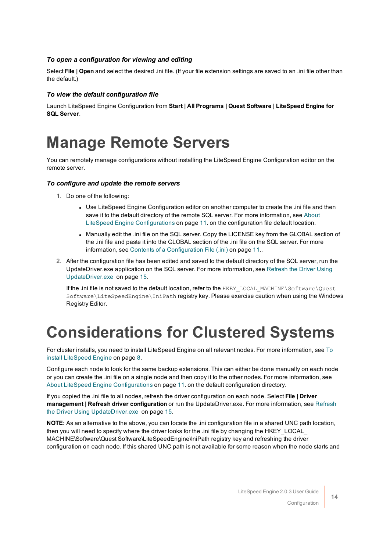### <span id="page-13-2"></span>*To open a configuration for viewing and editing*

Select **File | Open** and select the desired .ini file. (If your file extension settings are saved to an .ini file other than the default.)

#### *To view the default configuration file*

<span id="page-13-0"></span>Launch LiteSpeed Engine Configuration from **Start | All Programs | Quest Software | LiteSpeed Engine for SQL Server**.

### **Manage Remote Servers**

You can remotely manage configurations without installing the LiteSpeed Engine Configuration editor on the remote server.

#### *To configure and update the remote servers*

- 1. Do one of the following:
	- Use LiteSpeed Engine Configuration editor on another computer to create the .ini file and then save it to the default directory of the remote SQL server. For more [information,](#page-10-1) see About LiteSpeed Engine [Configurations](#page-10-1) on page 11. on the configuration file default location.
	- Manually edit the .ini file on the SQL server. Copy the LICENSE key from the GLOBAL section of the .ini file and paste it into the GLOBAL section of the .ini file on the SQL server. For [more](#page-10-2) information, see Contents of a [Configuration](#page-10-2) File (.ini) on page 11..
- 2. After the configuration file has been edited and saved to the default directory of the SQL server, run the UpdateDriver.exe application on the SQL server. For more [information,](#page-14-0) see Refresh the Driver Using [UpdateDriver.exe](#page-14-0) on page 15.

If the .ini file is not saved to the default location, refer to the HKEY\_LOCAL\_MACHINE\Software\Quest Software\LiteSpeedEngine\IniPath registry key. Please exercise caution when using the Windows Registry Editor.

## <span id="page-13-1"></span>**Considerations for Clustered Systems**

For cluster installs, you need to install LiteSpeed Engine on all relevant nodes. For more [information,](#page-7-1) see To install [LiteSpeed](#page-7-1) Engine on page 8.

Configure each node to look for the same backup extensions. This can either be done manually on each node or you can create the .ini file on a single node and then copy it to the other nodes. For more [information,](#page-10-1) see About LiteSpeed Engine [Configurations](#page-10-1) on page 11. on the default configuration directory.

If you copied the .ini file to all nodes, refresh the driver configuration on each node. Select **File | Driver management | Refresh driver configuration** or run the UpdateDriver.exe. For more [information,](#page-14-0) see Refresh the Driver Using [UpdateDriver.exe](#page-14-0) on page 15.

**NOTE:** As an alternative to the above, you can locate the .ini configuration file in a shared UNC path location, then you will need to specify where the driver looks for the .ini file by changing the HKEY\_LOCAL\_ MACHINE\Software\Quest Software\LiteSpeedEngine\IniPath registry key and refreshing the driver configuration on each node. If this shared UNC path is not available for some reason when the node starts and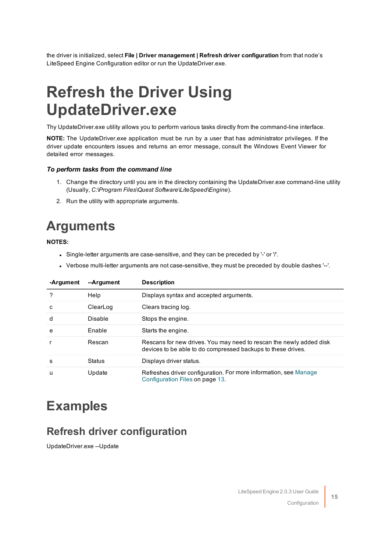<span id="page-14-0"></span>the driver is initialized, select **File | Driver management | Refresh driver configuration** from that node's LiteSpeed Engine Configuration editor or run the UpdateDriver.exe.

## **Refresh the Driver Using UpdateDriver.exe**

Thy UpdateDriver.exe utility allows you to perform various tasks directly from the command-line interface.

**NOTE:** The UpdateDriver.exe application must be run by a user that has administrator privileges. If the driver update encounters issues and returns an error message, consult the Windows Event Viewer for detailed error messages.

#### *To perform tasks from the command line*

- 1. Change the directory until you are in the directory containing the UpdateDriver.exe command-line utility (Usually, *C:\Program Files\Quest Software\LiteSpeed\Engine*).
- <span id="page-14-1"></span>2. Run the utility with appropriate arguments.

### **Arguments**

**NOTES:**

- Single-letter arguments are case-sensitive, and they can be preceded by '-' or '/'.
- Verbose multi-letter arguments are not case-sensitive, they must be preceded by double dashes '--'.

| -Argument | --Argument | <b>Description</b>                                                                                                                  |
|-----------|------------|-------------------------------------------------------------------------------------------------------------------------------------|
| ?         | Help       | Displays syntax and accepted arguments.                                                                                             |
| c         | ClearLog   | Clears tracing log.                                                                                                                 |
| d         | Disable    | Stops the engine.                                                                                                                   |
| e         | Enable     | Starts the engine.                                                                                                                  |
|           | Rescan     | Rescans for new drives. You may need to rescan the newly added disk<br>devices to be able to do compressed backups to these drives. |
| s         | Status     | Displays driver status.                                                                                                             |
| u         | Update     | Refreshes driver configuration. For more information, see Manage<br>Configuration Files on page 13.                                 |

### <span id="page-14-2"></span>**Examples**

### <span id="page-14-3"></span>**Refresh driver configuration**

UpdateDriver.exe --Update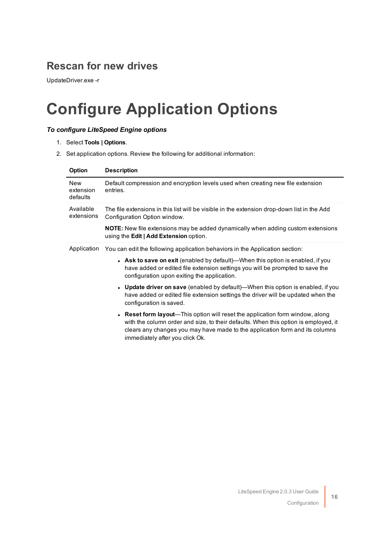### <span id="page-15-0"></span>**Rescan for new drives**

<span id="page-15-1"></span>UpdateDriver.exe -r

## **Configure Application Options**

### <span id="page-15-2"></span>*To configure LiteSpeed Engine options*

- 1. Select **Tools | Options**.
- 2. Set application options. Review the following for additional information:

| Option                              | <b>Description</b>                                                                                                                                                                                                                                                                                                                                                                                                                                                                                                                                                                                                                                                                                                                                                                           |
|-------------------------------------|----------------------------------------------------------------------------------------------------------------------------------------------------------------------------------------------------------------------------------------------------------------------------------------------------------------------------------------------------------------------------------------------------------------------------------------------------------------------------------------------------------------------------------------------------------------------------------------------------------------------------------------------------------------------------------------------------------------------------------------------------------------------------------------------|
| <b>New</b><br>extension<br>defaults | Default compression and encryption levels used when creating new file extension<br>entries.                                                                                                                                                                                                                                                                                                                                                                                                                                                                                                                                                                                                                                                                                                  |
| Available<br>extensions             | The file extensions in this list will be visible in the extension drop-down list in the Add<br>Configuration Option window.<br><b>NOTE:</b> New file extensions may be added dynamically when adding custom extensions<br>using the Edit   Add Extension option.                                                                                                                                                                                                                                                                                                                                                                                                                                                                                                                             |
| Application                         | You can edit the following application behaviors in the Application section:<br>• Ask to save on exit (enabled by default)—When this option is enabled, if you<br>have added or edited file extension settings you will be prompted to save the<br>configuration upon exiting the application.<br>• Update driver on save (enabled by default)—When this option is enabled, if you<br>have added or edited file extension settings the driver will be updated when the<br>configuration is saved.<br>• Reset form layout—This option will reset the application form window, along<br>with the column order and size, to their defaults. When this option is employed, it<br>clears any changes you may have made to the application form and its columns<br>immediately after you click Ok. |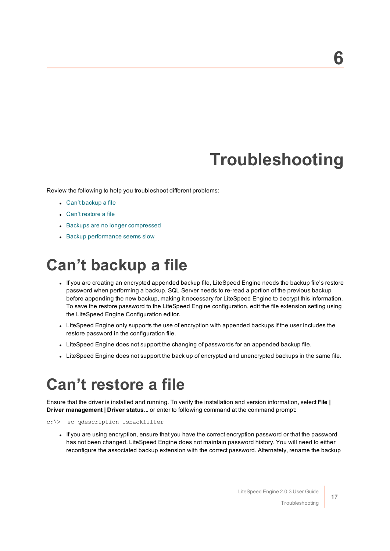## **Troubleshooting**

<span id="page-16-0"></span>Review the following to help you troubleshoot different problems:

- Can't [backup](#page-16-1) a file
- Can't [restore](#page-16-2) a file
- Backups are no longer [compressed](#page-17-0)
- <span id="page-16-1"></span>• Backup [performance](#page-17-1) seems slow

## **Can't backup a file**

- If you are creating an encrypted appended backup file, LiteSpeed Engine needs the backup file's restore password when performing a backup. SQL Server needs to re-read a portion of the previous backup before appending the new backup, making it necessary for LiteSpeed Engine to decrypt this information. To save the restore password to the LiteSpeed Engine configuration, edit the file extension setting using the LiteSpeed Engine Configuration editor.
- LiteSpeed Engine only supports the use of encryption with appended backups if the user includes the restore password in the configuration file.
- LiteSpeed Engine does not support the changing of passwords for an appended backup file.
- <span id="page-16-2"></span>• LiteSpeed Engine does not support the back up of encrypted and unencrypted backups in the same file.

### **Can't restore a file**

Ensure that the driver is installed and running. To verify the installation and version information, select **File | Driver management | Driver status...** or enter to following command at the command prompt:

```
c:\> sc qdescription lsbackfilter
```
• If you are using encryption, ensure that you have the correct encryption password or that the password has not been changed. LiteSpeed Engine does not maintain password history. You will need to either reconfigure the associated backup extension with the correct password. Alternately, rename the backup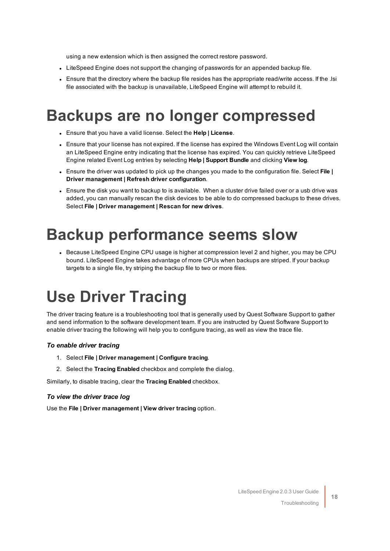using a new extension which is then assigned the correct restore password.

- LiteSpeed Engine does not support the changing of passwords for an appended backup file.
- Ensure that the directory where the backup file resides has the appropriate read/write access. If the .lsi file associated with the backup is unavailable, LiteSpeed Engine will attempt to rebuild it.

### <span id="page-17-0"></span>**Backups are no longer compressed**

- <sup>l</sup> Ensure that you have a valid license. Select the **Help | License**.
- Ensure that your license has not expired. If the license has expired the Windows Event Log will contain an LiteSpeed Engine entry indicating that the license has expired. You can quickly retrieve LiteSpeed Engine related Event Log entries by selecting **Help | Support Bundle** and clicking **View log**.
- <sup>l</sup> Ensure the driver was updated to pick up the changes you made to the configuration file. Select **File | Driver management | Refresh driver configuration**.
- Ensure the disk you want to backup to is available. When a cluster drive failed over or a usb drive was added, you can manually rescan the disk devices to be able to do compressed backups to these drives. Select **File | Driver management | Rescan for new drives**.

### <span id="page-17-1"></span>**Backup performance seems slow**

• Because LiteSpeed Engine CPU usage is higher at compression level 2 and higher, you may be CPU bound. LiteSpeed Engine takes advantage of more CPUs when backups are striped. If your backup targets to a single file, try striping the backup file to two or more files.

## <span id="page-17-2"></span>**Use Driver Tracing**

The driver tracing feature is a troubleshooting tool that is generally used by Quest Software Support to gather and send information to the software development team. If you are instructed by Quest Software Support to enable driver tracing the following will help you to configure tracing, as well as view the trace file.

#### *To enable driver tracing*

- 1. Select **File | Driver management | Configure tracing**.
- 2. Select the **Tracing Enabled** checkbox and complete the dialog.

Similarly, to disable tracing, clear the **Tracing Enabled** checkbox.

#### *To view the driver trace log*

Use the **File | Driver management | View driver tracing** option.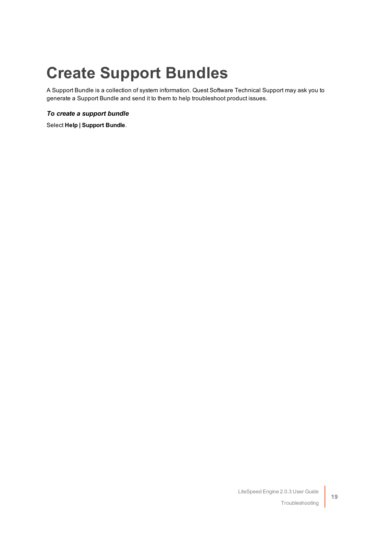## <span id="page-18-0"></span>**Create Support Bundles**

A Support Bundle is a collection of system information. Quest Software Technical Support may ask you to generate a Support Bundle and send it to them to help troubleshoot product issues.

### *To create a support bundle*

Select **Help | Support Bundle**.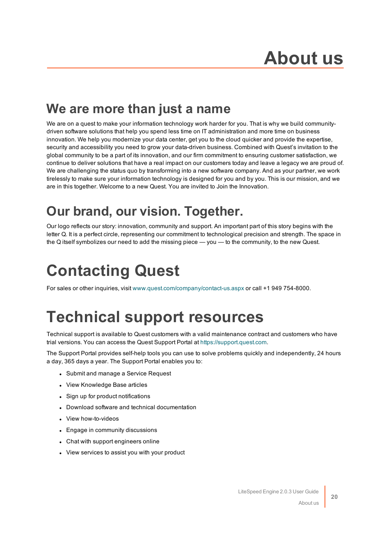### <span id="page-19-0"></span>**We are more than just a name**

We are on a quest to make your information technology work harder for you. That is why we build communitydriven software solutions that help you spend less time on IT administration and more time on business innovation. We help you modernize your data center, get you to the cloud quicker and provide the expertise, security and accessibility you need to grow your data-driven business. Combined with Quest's invitation to the global community to be a part of its innovation, and our firm commitment to ensuring customer satisfaction, we continue to deliver solutions that have a real impact on our customers today and leave a legacy we are proud of. We are challenging the status quo by transforming into a new software company. And as your partner, we work tirelessly to make sure your information technology is designed for you and by you. This is our mission, and we are in this together. Welcome to a new Quest. You are invited to Join the Innovation.

### **Our brand, our vision. Together.**

Our logo reflects our story: innovation, community and support. An important part of this story begins with the letter Q. It is a perfect circle, representing our commitment to technological precision and strength. The space in the Q itself symbolizes our need to add the missing piece — you — to the community, to the new Quest.

## <span id="page-19-1"></span>**Contacting Quest**

<span id="page-19-2"></span>For sales or other inquiries, visit [www.quest.com/company/contact-us.aspx](https://www.quest.com/company/contact-us.aspx) or call +1 949 754-8000.

## **Technical support resources**

Technical support is available to Quest customers with a valid maintenance contract and customers who have trial versions. You can access the Quest Support Portal at [https://support.quest.com](https://support.quest.com/).

The Support Portal provides self-help tools you can use to solve problems quickly and independently, 24 hours a day, 365 days a year. The Support Portal enables you to:

- Submit and manage a Service Request
- View Knowledge Base articles
- Sign up for product notifications
- Download software and technical documentation
- View how-to-videos
- Engage in community discussions
- Chat with support engineers online
- View services to assist you with your product

About us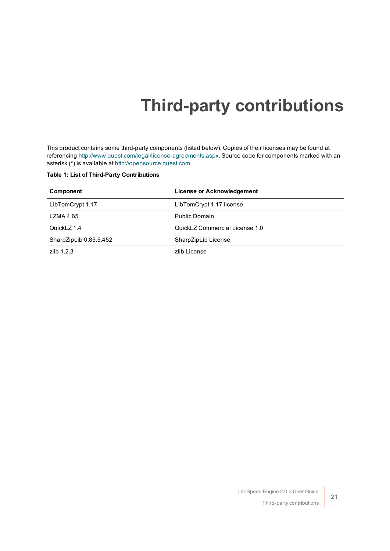## **Third-party contributions**

<span id="page-20-0"></span>This product contains some third-party components (listed below). Copies of their licenses may be found at referencing [http://www.quest.com/legal/license-agreements.aspx.](http://www.quest.com/legal/license-agreements.aspx) Source code for components marked with an asterisk (\*) is available at [http://opensource.quest.com](http://opensource.quest.com/).

#### **Table 1: List of Third-Party Contributions**

| Component              | License or Acknowledgement     |
|------------------------|--------------------------------|
| LibTomCrypt 1.17       | LibTomCrypt 1.17 license       |
| LZMA 4.65              | Public Domain                  |
| QuickLZ 1.4            | QuickLZ Commercial License 1.0 |
| SharpZipLib 0.85.5.452 | SharpZipLib License            |
| $7$ lib $1.2.3$        | zlib License                   |